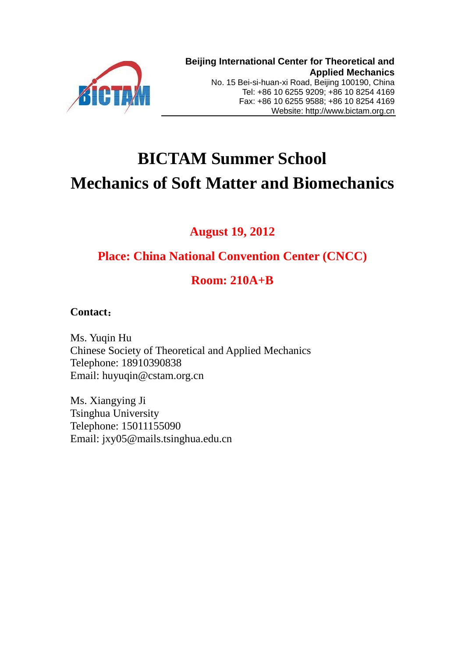

# **BICTAM Summer School Mechanics of Soft Matter and Biomechanics**

# **August 19, 2012**

# **Place: [China National Convention Center \(CNCC\)](http://www.cnccchina.com/en/Default.aspx)**

# **Room: 210A+B**

# **Contact**:

Ms. Yuqin Hu Chinese Society of Theoretical and Applied Mechanics Telephone: 18910390838 Email: huyuqin@cstam.org.cn

Ms. Xiangying Ji Tsinghua University Telephone: 15011155090 Email: jxy05@mails.tsinghua.edu.cn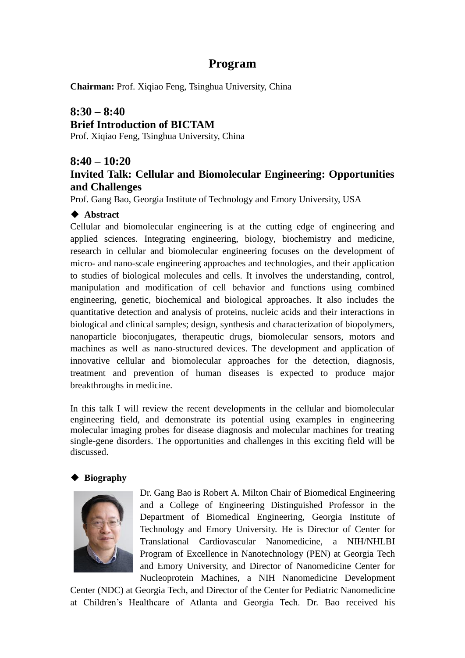# **Program**

**Chairman:** Prof. Xiqiao Feng, Tsinghua University, China

# **8:30 – 8:40 Brief Introduction of BICTAM**

Prof. Xiqiao Feng, Tsinghua University, China

### **8:40 – 10:20**

# **Invited Talk: Cellular and Biomolecular Engineering: Opportunities and Challenges**

Prof. Gang Bao, Georgia Institute of Technology and Emory University, USA

#### **← Abstract**

Cellular and biomolecular engineering is at the cutting edge of engineering and applied sciences. Integrating engineering, biology, biochemistry and medicine, research in cellular and biomolecular engineering focuses on the development of micro- and nano-scale engineering approaches and technologies, and their application to studies of biological molecules and cells. It involves the understanding, control, manipulation and modification of cell behavior and functions using combined engineering, genetic, biochemical and biological approaches. It also includes the quantitative detection and analysis of proteins, nucleic acids and their interactions in biological and clinical samples; design, synthesis and characterization of biopolymers, nanoparticle bioconjugates, therapeutic drugs, biomolecular sensors, motors and machines as well as nano-structured devices. The development and application of innovative cellular and biomolecular approaches for the detection, diagnosis, treatment and prevention of human diseases is expected to produce major breakthroughs in medicine.

In this talk I will review the recent developments in the cellular and biomolecular engineering field, and demonstrate its potential using examples in engineering molecular imaging probes for disease diagnosis and molecular machines for treating single-gene disorders. The opportunities and challenges in this exciting field will be discussed.

#### **Biography**



Dr. Gang Bao is Robert A. Milton Chair of Biomedical Engineering and a College of Engineering Distinguished Professor in the Department of Biomedical Engineering, Georgia Institute of Technology and Emory University. He is Director of Center for Translational Cardiovascular Nanomedicine, a NIH/NHLBI Program of Excellence in Nanotechnology (PEN) at Georgia Tech and Emory University, and Director of Nanomedicine Center for Nucleoprotein Machines, a NIH Nanomedicine Development

Center (NDC) at Georgia Tech, and Director of the Center for Pediatric Nanomedicine at Children's Healthcare of Atlanta and Georgia Tech. Dr. Bao received his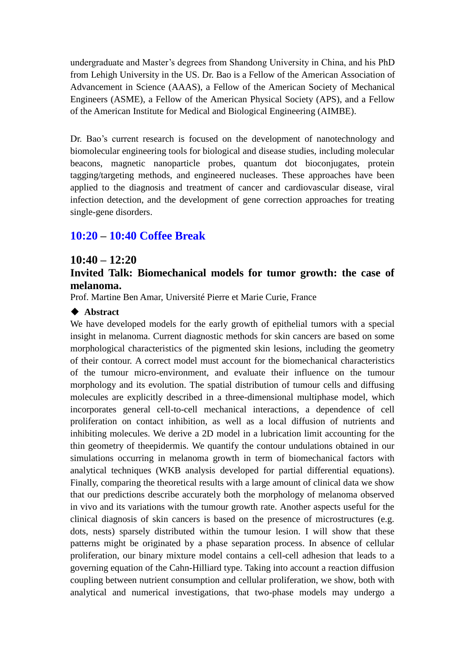undergraduate and Master's degrees from Shandong University in China, and his PhD from Lehigh University in the US. Dr. Bao is a Fellow of the American Association of Advancement in Science (AAAS), a Fellow of the American Society of Mechanical Engineers (ASME), a Fellow of the American Physical Society (APS), and a Fellow of the American Institute for Medical and Biological Engineering (AIMBE).

Dr. Bao's current research is focused on the development of nanotechnology and biomolecular engineering tools for biological and disease studies, including molecular beacons, magnetic nanoparticle probes, quantum dot bioconjugates, protein tagging/targeting methods, and engineered nucleases. These approaches have been applied to the diagnosis and treatment of cancer and cardiovascular disease, viral infection detection, and the development of gene correction approaches for treating single-gene disorders.

# **10:20 – 10:40 Coffee Break**

#### **10:40 – 12:20**

#### **Invited Talk: Biomechanical models for tumor growth: the case of melanoma.**

Prof. Martine Ben Amar, Université Pierre et Marie Curie, France

#### **◆ Abstract**

We have developed models for the early growth of epithelial tumors with a special insight in melanoma. Current diagnostic methods for skin cancers are based on some morphological characteristics of the pigmented skin lesions, including the geometry of their contour. A correct model must account for the biomechanical characteristics of the tumour micro-environment, and evaluate their influence on the tumour morphology and its evolution. The spatial distribution of tumour cells and diffusing molecules are explicitly described in a three-dimensional multiphase model, which incorporates general cell-to-cell mechanical interactions, a dependence of cell proliferation on contact inhibition, as well as a local diffusion of nutrients and inhibiting molecules. We derive a 2D model in a lubrication limit accounting for the thin geometry of theepidermis. We quantify the contour undulations obtained in our simulations occurring in melanoma growth in term of biomechanical factors with analytical techniques (WKB analysis developed for partial differential equations). Finally, comparing the theoretical results with a large amount of clinical data we show that our predictions describe accurately both the morphology of melanoma observed in vivo and its variations with the tumour growth rate. Another aspects useful for the clinical diagnosis of skin cancers is based on the presence of microstructures (e.g. dots, nests) sparsely distributed within the tumour lesion. I will show that these patterns might be originated by a phase separation process. In absence of cellular proliferation, our binary mixture model contains a cell-cell adhesion that leads to a governing equation of the Cahn-Hilliard type. Taking into account a reaction diffusion coupling between nutrient consumption and cellular proliferation, we show, both with analytical and numerical investigations, that two-phase models may undergo a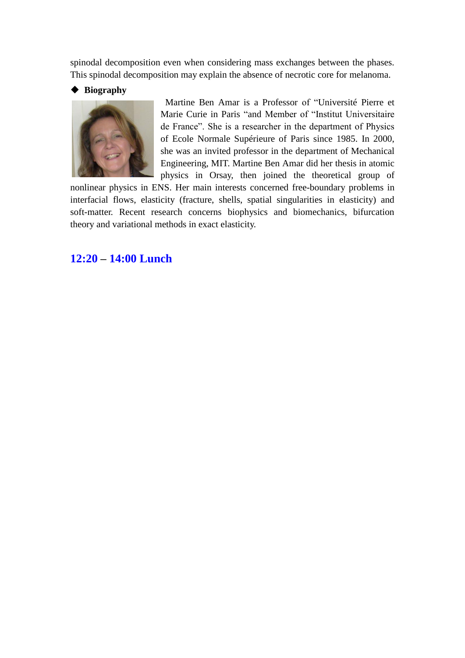spinodal decomposition even when considering mass exchanges between the phases. This spinodal decomposition may explain the absence of necrotic core for melanoma.

#### **Biography**



Martine Ben Amar is a Professor of "Université Pierre et Marie Curie in Paris "and Member of "Institut Universitaire de France". She is a researcher in the department of Physics of Ecole Normale Supérieure of Paris since 1985. In 2000, she was an invited professor in the department of Mechanical Engineering, MIT. Martine Ben Amar did her thesis in atomic physics in Orsay, then joined the theoretical group of

nonlinear physics in ENS. Her main interests concerned free-boundary problems in interfacial flows, elasticity (fracture, shells, spatial singularities in elasticity) and soft-matter. Recent research concerns biophysics and biomechanics, bifurcation theory and variational methods in exact elasticity.

### **12:20 – 14:00 Lunch**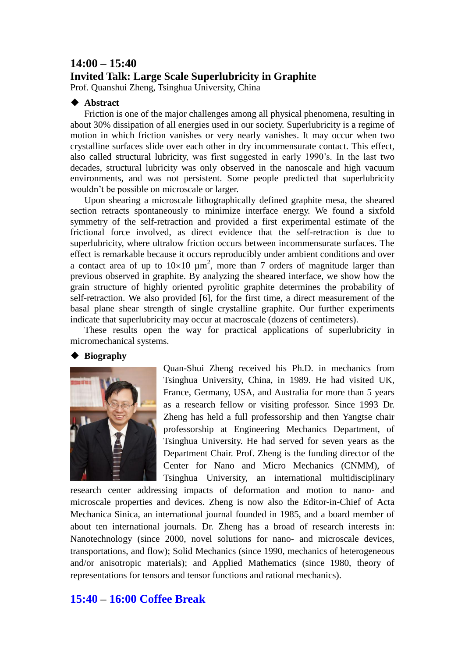### **14:00 – 15:40 Invited Talk: Large Scale Superlubricity in Graphite**

Prof. Quanshui Zheng, Tsinghua University, China

#### **◆ Abstract**

Friction is one of the major challenges among all physical phenomena, resulting in about 30% dissipation of all energies used in our society. Superlubricity is a regime of motion in which friction vanishes or very nearly vanishes. It may occur when two crystalline surfaces slide over each other in dry incommensurate contact. This effect, also called structural lubricity, was first suggested in early 1990's. In the last two decades, structural lubricity was only observed in the nanoscale and high vacuum environments, and was not persistent. Some people predicted that superlubricity wouldn't be possible on microscale or larger.

Upon shearing a microscale lithographically defined graphite mesa, the sheared section retracts spontaneously to minimize interface energy. We found a sixfold symmetry of the self-retraction and provided a first experimental estimate of the frictional force involved, as direct evidence that the self-retraction is due to superlubricity, where ultralow friction occurs between incommensurate surfaces. The effect is remarkable because it occurs reproducibly under ambient conditions and over a contact area of up to  $10\times10 \mu m^2$ , more than 7 orders of magnitude larger than previous observed in graphite. By analyzing the sheared interface, we show how the grain structure of highly oriented pyrolitic graphite determines the probability of self-retraction. We also provided [6], for the first time, a direct measurement of the basal plane shear strength of single crystalline graphite. Our further experiments indicate that superlubricity may occur at macroscale (dozens of centimeters).

These results open the way for practical applications of superlubricity in micromechanical systems.

#### **◆ Biography**



Quan-Shui Zheng received his Ph.D. in mechanics from Tsinghua University, China, in 1989. He had visited UK, France, Germany, USA, and Australia for more than 5 years as a research fellow or visiting professor. Since 1993 Dr. Zheng has held a full professorship and then Yangtse chair professorship at Engineering Mechanics Department, of Tsinghua University. He had served for seven years as the Department Chair. Prof. Zheng is the funding director of the Center for Nano and Micro Mechanics (CNMM), of Tsinghua University, an international multidisciplinary

research center addressing impacts of deformation and motion to nano- and microscale properties and devices. Zheng is now also the Editor-in-Chief of Acta Mechanica Sinica, an international journal founded in 1985, and a board member of about ten international journals. Dr. Zheng has a broad of research interests in: Nanotechnology (since 2000, novel solutions for nano- and microscale devices, transportations, and flow); Solid Mechanics (since 1990, mechanics of heterogeneous and/or anisotropic materials); and Applied Mathematics (since 1980, theory of representations for tensors and tensor functions and rational mechanics).

#### **15:40 – 16:00 Coffee Break**